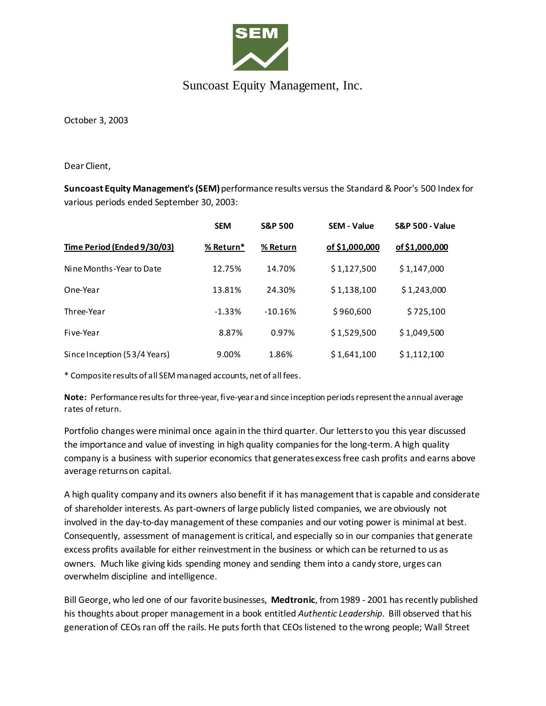

## Suncoast Equity Management, Inc.

October 3, 2003

Dear Client,

**Suncoast Equity Management's (SEM)**performance results versus the Standard & Poor's 500 Index for various periods ended September 30, 2003:

|                              | <b>SEM</b> | <b>S&amp;P 500</b> | <b>SEM - Value</b> | <b>S&amp;P 500 - Value</b> |
|------------------------------|------------|--------------------|--------------------|----------------------------|
| Time Period (Ended 9/30/03)  | % Return*  | % Return           | of \$1,000,000     | of \$1,000,000             |
| Nine Months-Year to Date     | 12.75%     | 14.70%             | \$1,127,500        | \$1,147,000                |
| One-Year                     | 13.81%     | 24.30%             | \$1,138,100        | \$1,243,000                |
| Three-Year                   | $-1.33%$   | $-10.16%$          | \$960,600          | \$725,100                  |
| Five-Year                    | 8.87%      | 0.97%              | \$1,529,500        | \$1,049,500                |
| Since Inception (53/4 Years) | 9.00%      | 1.86%              | \$1,641,100        | \$1,112,100                |

\* Composite results of all SEM managed accounts, net of all fees.

**Note:** Performance results for three-year, five-year and since inception periods represent the annual average rates of return.

Portfolio changes were minimal once again in the third quarter. Our letters to you this year discussed the importance and value of investing in high quality companies for the long-term. A high quality company is a business with superior economics that generates excess free cash profits and earns above average returns on capital.

A high quality company and its owners also benefit if it has management that is capable and considerate of shareholder interests. As part-owners of large publicly listed companies, we are obviously not involved in the day-to-day management of these companies and our voting power is minimal at best. Consequently, assessment of management is critical, and especially so in our companies that generate excess profits available for either reinvestment in the business or which can be returned to us as owners. Much like giving kids spending money and sending them into a candy store, urges can overwhelm discipline and intelligence.

Bill George, who led one of our favorite businesses, **Medtronic**, from 1989 - 2001 has recently published his thoughts about proper management in a book entitled *Authentic Leadership*. Bill observed that his generation of CEOs ran off the rails. He puts forth that CEOs listened to the wrong people; Wall Street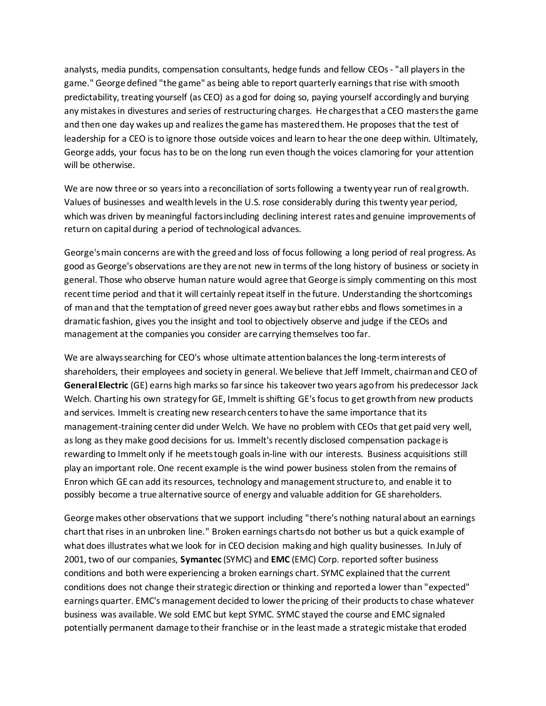analysts, media pundits, compensation consultants, hedge funds and fellow CEOs - "all players in the game." George defined "the game" as being able to report quarterly earnings that rise with smooth predictability, treating yourself (as CEO) as a god for doing so, paying yourself accordingly and burying any mistakes in divestures and series of restructuring charges. He charges that a CEO masters the game and then one day wakes up and realizes the game has mastered them. He proposes that the test of leadership for a CEO is to ignore those outside voices and learn to hear the one deep within. Ultimately, George adds, your focus has to be on the long run even though the voices clamoring for your attention will be otherwise.

We are now three or so years into a reconciliation of sorts following a twenty year run of real growth. Values of businesses and wealth levels in the U.S. rose considerably during this twenty year period, which was driven by meaningful factors including declining interest rates and genuine improvements of return on capital during a period of technological advances.

George's main concerns are with the greed and loss of focus following a long period of real progress. As good as George's observations are they are not new in terms of the long history of business or society in general. Those who observe human nature would agree that George is simply commenting on this most recent time period and that it will certainly repeat itself in the future. Understanding the shortcomings of man and that the temptation of greed never goes away but rather ebbs and flows sometimes in a dramatic fashion, gives you the insight and tool to objectively observe and judge if the CEOs and management at the companies you consider are carrying themselves too far.

We are always searching for CEO's whose ultimate attention balances the long-term interests of shareholders, their employees and society in general. We believe that Jeff Immelt, chairman and CEO of **General Electric** (GE) earns high marks so far since his takeover two years ago from his predecessor Jack Welch. Charting his own strategy for GE, Immelt is shifting GE's focus to get growth from new products and services. Immelt is creating new research centers to have the same importance that its management-training center did under Welch. We have no problem with CEOs that get paid very well, as long as they make good decisions for us. Immelt's recently disclosed compensation package is rewarding to Immelt only if he meets tough goals in-line with our interests. Business acquisitions still play an important role. One recent example is the wind power business stolen from the remains of Enron which GE can add its resources, technology and management structure to, and enable it to possibly become a true alternative source of energy and valuable addition for GE shareholders.

George makes other observations that we support including "there's nothing natural about an earnings chart that rises in an unbroken line." Broken earnings charts do not bother us but a quick example of what does illustrates what we look for in CEO decision making and high quality businesses. In July of 2001, two of our companies, **Symantec** (SYMC) and **EMC** (EMC) Corp. reported softer business conditions and both were experiencing a broken earnings chart. SYMC explained that the current conditions does not change their strategic direction or thinking and reported a lower than "expected" earnings quarter. EMC's management decided to lower the pricing of their products to chase whatever business was available. We sold EMC but kept SYMC. SYMC stayed the course and EMC signaled potentially permanent damage to their franchise or in the least made a strategic mistake that eroded